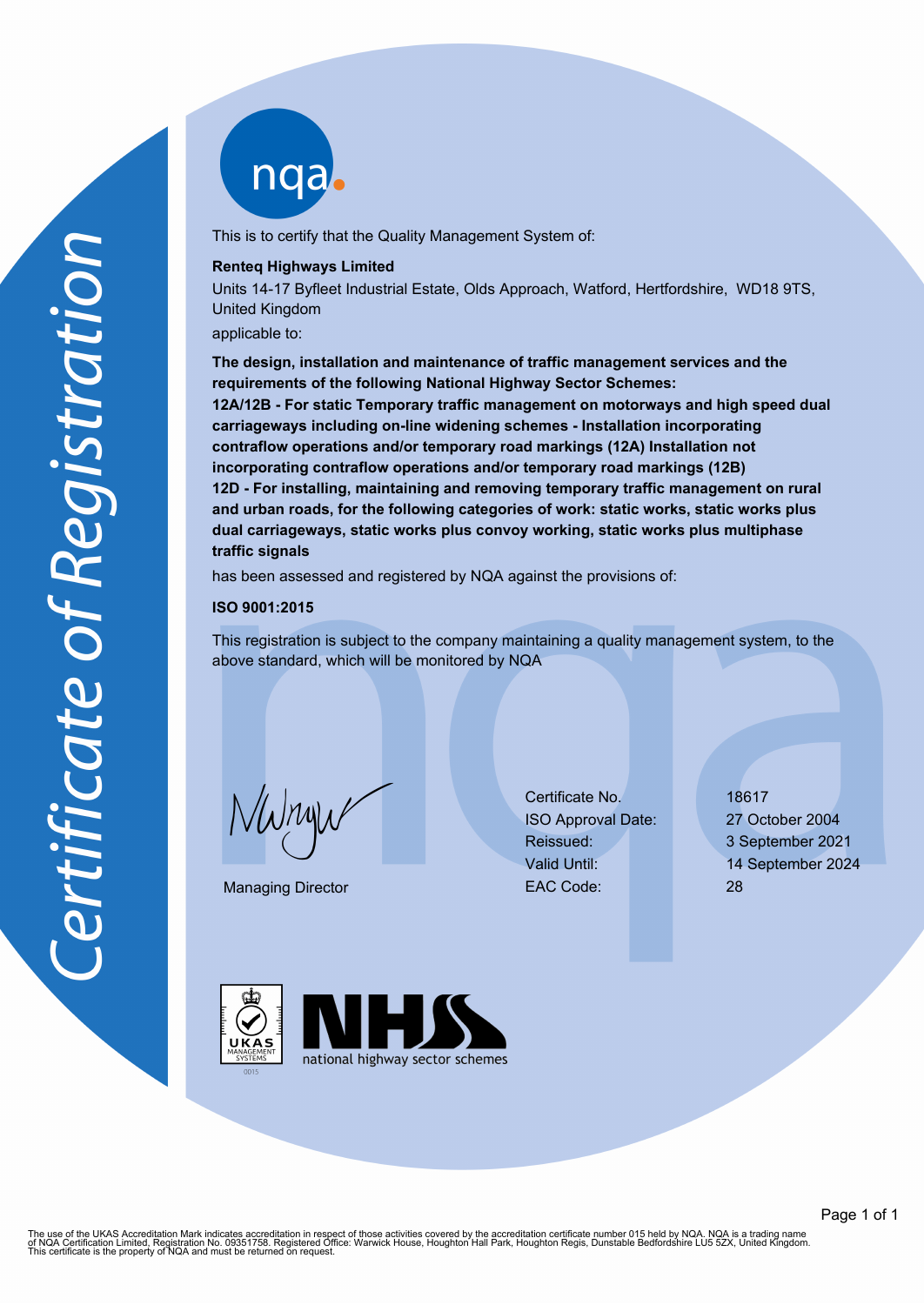ngab

This is to certify that the Quality Management System of:

## **Renteq Highways Limited**

Units 14-17 Byfleet Industrial Estate, Olds Approach, Watford, Hertfordshire, WD18 9TS, United Kingdom

applicable to:

**The design, installation and maintenance of traffic management services and the requirements of the following National Highway Sector Schemes: 12A/12B - For static Temporary traffic management on motorways and high speed dual carriageways including on-line widening schemes - Installation incorporating contraflow operations and/or temporary road markings (12A) Installation not incorporating contraflow operations and/or temporary road markings (12B) 12D - For installing, maintaining and removing temporary traffic management on rural and urban roads, for the following categories of work: static works, static works plus dual carriageways, static works plus convoy working, static works plus multiphase traffic signals**

has been assessed and registered by NQA against the provisions of:

#### **ISO 9001:2015**

This registration is subject to the company maintaining a quality management system, to the above standard, which will be monitored by NQA

 $\omega$  $n$ y

Managing Director

Certificate No. 18617 ISO Approval Date: 27 October 2004 Reissued: 3 September 2021 EAC Code: 28

Valid Until: 14 September 2024





The use of the UKAS Accreditation Mark indicates accreditation in respect of those activities covered by the accreditation certificate number 015 held by NQA. NQA is a trading name<br>of NQA Certification Limited, Registratio